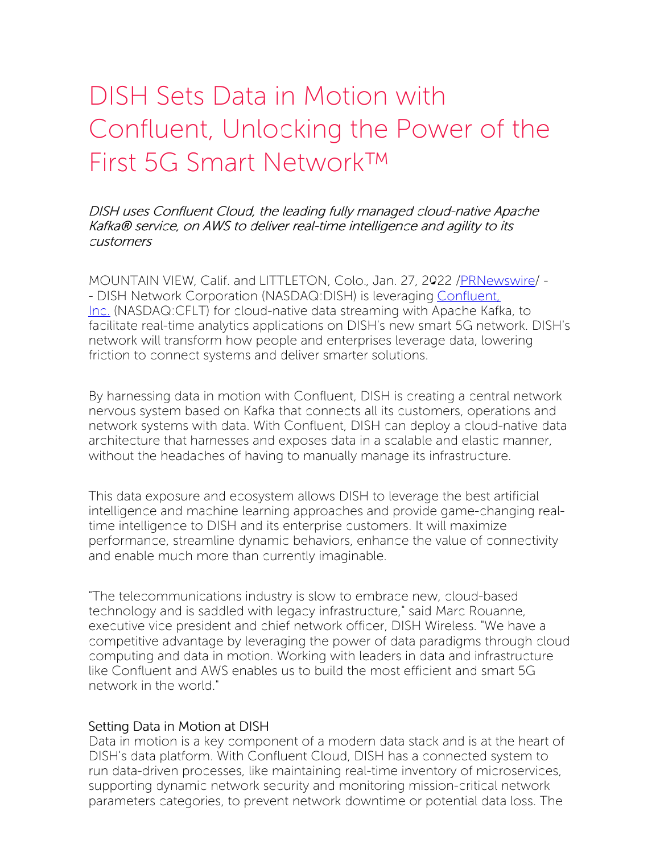# DISH Sets Data in Motion with Confluent, Unlocking the Power of the First 5G Smart Network™

DISH uses Confluent Cloud, the leading fully managed cloud-native Apache Kafka® service, on AWS to deliver real-time intelligence and agility to its customers

MOUNTAIN VIEW, Calif. and LITTLETON, Colo., Jan. 27, 2022 [/PRNewswire](http://www.prnewswire.com/)/ - - DISH Network Corporation [\(NASDAQ:DISH\)](https://c212.net/c/link/?t=0&l=en&o=3421969-1&h=1910459822&u=https%3A%2F%2Fwww.confluent.io%2F&a=Confluent%2C+Inc.) is leveraging Confluent. Inc. (NASDAQ:CFLT) for cloud-native data streaming with Apache Kafka, to facilitate real-time analytics applications on DISH's new smart 5G network. DISH's network will transform how people and enterprises leverage data, lowering friction to connect systems and deliver smarter solutions.

By harnessing data in motion with Confluent, DISH is creating a central network nervous system based on Kafka that connects all its customers, operations and network systems with data. With Confluent, DISH can deploy a cloud-native data architecture that harnesses and exposes data in a scalable and elastic manner, without the headaches of having to manually manage its infrastructure.

This data exposure and ecosystem allows DISH to leverage the best artificial intelligence and machine learning approaches and provide game-changing realtime intelligence to DISH and its enterprise customers. It will maximize performance, streamline dynamic behaviors, enhance the value of connectivity and enable much more than currently imaginable.

"The telecommunications industry is slow to embrace new, cloud-based technology and is saddled with legacy infrastructure," said Marc Rouanne, executive vice president and chief network officer, DISH Wireless. "We have a competitive advantage by leveraging the power of data paradigms through cloud computing and data in motion. Working with leaders in data and infrastructure like Confluent and AWS enables us to build the most efficient and smart 5G network in the world."

#### Setting Data in Motion at DISH

Data in motion is a key component of a modern data stack and is at the heart of DISH's data platform. With Confluent Cloud, DISH has a connected system to run data-driven processes, like maintaining real-time inventory of microservices, supporting dynamic network security and monitoring mission-critical network parameters categories, to prevent network downtime or potential data loss. The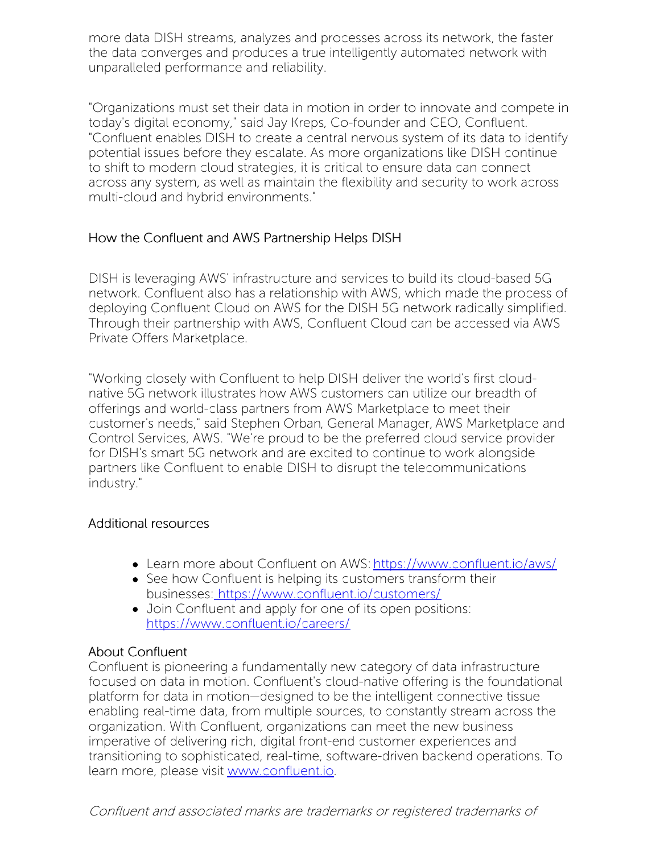more data DISH streams, analyzes and processes across its network, the faster the data converges and produces a true intelligently automated network with unparalleled performance and reliability.

"Organizations must set their data in motion in order to innovate and compete in today's digital economy," said Jay Kreps, Co-founder and CEO, Confluent. "Confluent enables DISH to create a central nervous system of its data to identify potential issues before they escalate. As more organizations like DISH continue to shift to modern cloud strategies, it is critical to ensure data can connect across any system, as well as maintain the flexibility and security to work across multi-cloud and hybrid environments."

## How the Confluent and AWS Partnership Helps DISH

DISH is leveraging AWS' infrastructure and services to build its cloud-based 5G network. Confluent also has a relationship with AWS, which made the process of deploying Confluent Cloud on AWS for the DISH 5G network radically simplified. Through their partnership with AWS, Confluent Cloud can be accessed via AWS Private Offers Marketplace.

"Working closely with Confluent to help DISH deliver the world's first cloudnative 5G network illustrates how AWS customers can utilize our breadth of offerings and world-class partners from AWS Marketplace to meet their customer's needs," said Stephen Orban, General Manager, AWS Marketplace and Control Services, AWS. "We're proud to be the preferred cloud service provider for DISH's smart 5G network and are excited to continue to work alongside partners like Confluent to enable DISH to disrupt the telecommunications industry."

### Additional resources

- Learn more about Confluent on AWS: [https://www.confluent.io/aws/](https://c212.net/c/link/?t=0&l=en&o=3421969-1&h=3629589672&u=https%3A%2F%2Fwww.confluent.io%2Faws%2F&a=https%3A%2F%2Fwww.confluent.io%2Faws%2F)
- See how Confluent is helping its customers transform their businesses: [https://www.confluent.io/customers/](https://c212.net/c/link/?t=0&l=en&o=3421969-1&h=3551089777&u=https%3A%2F%2Fwww.confluent.io%2Fcustomers%2F&a=%C2%A0https%3A%2F%2Fwww.confluent.io%2Fcustomers%2F)
- Join Confluent and apply for one of its open positions: [https://www.confluent.io/careers/](https://c212.net/c/link/?t=0&l=en&o=3421969-1&h=366711020&u=https%3A%2F%2Fwww.confluent.io%2Fcareers%2F&a=https%3A%2F%2Fwww.confluent.io%2Fcareers%2F)

### About Confluent

Confluent is pioneering a fundamentally new category of data infrastructure focused on data in motion. Confluent's cloud-native offering is the foundational platform for data in motion—designed to be the intelligent connective tissue enabling real-time data, from multiple sources, to constantly stream across the organization. With Confluent, organizations can meet the new business imperative of delivering rich, digital front-end customer experiences and transitioning to sophisticated, real-time, software-driven backend operations. To learn more, please visit [www.confluent.io](https://c212.net/c/link/?t=0&l=en&o=3421969-1&h=2467037995&u=http%3A%2F%2Fwww.confluent.io%2F&a=www.confluent.io).